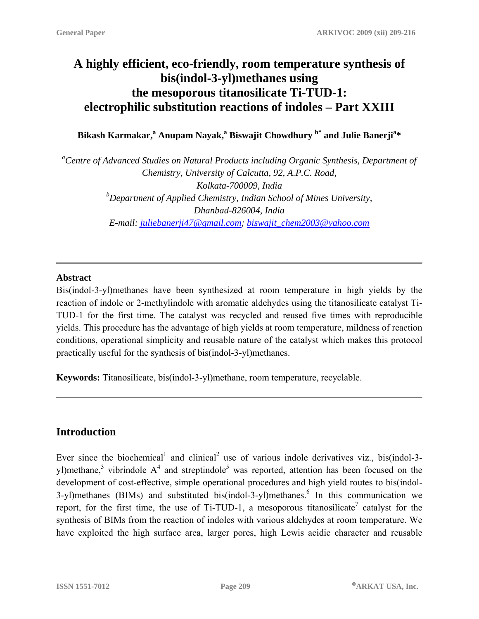# **A highly efficient, eco-friendly, room temperature synthesis of bis(indol-3-yl)methanes using the mesoporous titanosilicate Ti-TUD-1: electrophilic substitution reactions of indoles – Part XXIII**

### Bikash Karmakar,<sup>a</sup> Anupam Nayak,<sup>a</sup> Biswajit Chowdhury <sup>b\*</sup> and Julie Banerji<sup>a</sup>\*

*a Centre of Advanced Studies on Natural Products including Organic Synthesis, Department of Chemistry, University of Calcutta, 92, A.P.C. Road, Kolkata-700009, India b Department of Applied Chemistry, Indian School of Mines University, Dhanbad-826004, India E-mail: [juliebanerji47@gmail.com;](mailto:juliebanerji47@gmail.com) [biswajit\\_chem2003@yahoo.com](mailto:biswajit_chem2003@yahoo.com)*

#### **Abstract**

Bis(indol-3-yl)methanes have been synthesized at room temperature in high yields by the reaction of indole or 2-methylindole with aromatic aldehydes using the titanosilicate catalyst Ti-TUD-1 for the first time. The catalyst was recycled and reused five times with reproducible yields. This procedure has the advantage of high yields at room temperature, mildness of reaction conditions, operational simplicity and reusable nature of the catalyst which makes this protocol practically useful for the synthesis of bis(indol-3-yl)methanes.

**Keywords:** Titanosilicate, bis(indol-3-yl)methane, room temperature, recyclable.

## **Introduction**

Ever since the biochemical<sup>1</sup> and clinical<sup>2</sup> use of various indole derivatives viz., bis(indol-3yl)methane,<sup>3</sup> vibrindole  $A^4$  and streptindole<sup>5</sup> was reported, attention has been focused on the development of cost-effective, simple operational procedures and high yield routes to bis(indol-3-yl)methanes (BIMs) and substituted bis(indol-3-yl)methanes.<sup>6</sup> In this communication we report, for the first time, the use of Ti-TUD-1, a mesoporous titanosilicate<sup>7</sup> catalyst for the synthesis of BIMs from the reaction of indoles with various aldehydes at room temperature. We have exploited the high surface area, larger pores, high Lewis acidic character and reusable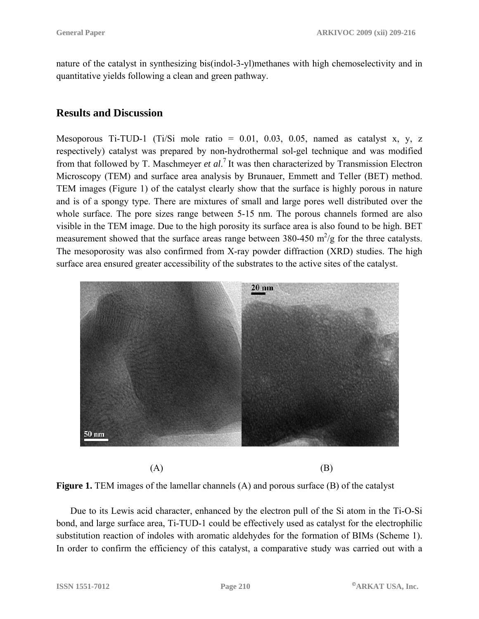nature of the catalyst in synthesizing bis(indol-3-yl)methanes with high chemoselectivity and in quantitative yields following a clean and green pathway.

### **Results and Discussion**

Mesoporous Ti-TUD-1 (Ti/Si mole ratio =  $0.01$ ,  $0.03$ ,  $0.05$ , named as catalyst x, y, z respectively) catalyst was prepared by non-hydrothermal sol-gel technique and was modified from that followed by T. Maschmeyer *et al*. <sup>7</sup> It was then characterized by Transmission Electron Microscopy (TEM) and surface area analysis by Brunauer, Emmett and Teller (BET) method. TEM images (Figure 1) of the catalyst clearly show that the surface is highly porous in nature and is of a spongy type. There are mixtures of small and large pores well distributed over the whole surface. The pore sizes range between 5-15 nm. The porous channels formed are also visible in the TEM image. Due to the high porosity its surface area is also found to be high. BET measurement showed that the surface areas range between 380-450  $\text{m}^2/\text{g}$  for the three catalysts. The mesoporosity was also confirmed from X-ray powder diffraction (XRD) studies. The high surface area ensured greater accessibility of the substrates to the active sites of the catalyst.



 $(A)$  (B)

**Figure 1.** TEM images of the lamellar channels (A) and porous surface (B) of the catalyst

Due to its Lewis acid character, enhanced by the electron pull of the Si atom in the Ti-O-Si bond, and large surface area, Ti-TUD-1 could be effectively used as catalyst for the electrophilic substitution reaction of indoles with aromatic aldehydes for the formation of BIMs (Scheme 1). In order to confirm the efficiency of this catalyst, a comparative study was carried out with a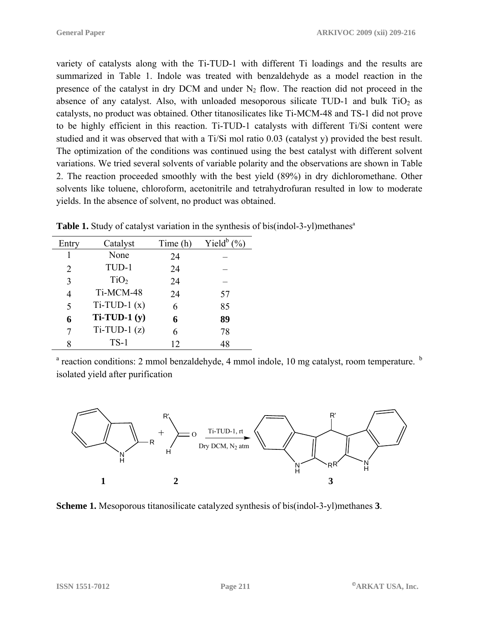variety of catalysts along with the Ti-TUD-1 with different Ti loadings and the results are summarized in Table 1. Indole was treated with benzaldehyde as a model reaction in the presence of the catalyst in dry DCM and under  $N_2$  flow. The reaction did not proceed in the absence of any catalyst. Also, with unloaded mesoporous silicate TUD-1 and bulk  $TiO<sub>2</sub>$  as catalysts, no product was obtained. Other titanosilicates like Ti-MCM-48 and TS-1 did not prove to be highly efficient in this reaction. Ti-TUD-1 catalysts with different Ti/Si content were studied and it was observed that with a Ti/Si mol ratio 0.03 (catalyst y) provided the best result. The optimization of the conditions was continued using the best catalyst with different solvent variations. We tried several solvents of variable polarity and the observations are shown in Table 2. The reaction proceeded smoothly with the best yield (89%) in dry dichloromethane. Other solvents like toluene, chloroform, acetonitrile and tetrahydrofuran resulted in low to moderate yields. In the absence of solvent, no product was obtained.

| Entry          | Catalyst         | Time (h) | Yield $^b$ (%) |
|----------------|------------------|----------|----------------|
|                | None             | 24       |                |
| 2              | TUD-1            | 24       |                |
| 3              | TiO <sub>2</sub> | 24       |                |
| $\overline{4}$ | Ti-MCM-48        | 24       | 57             |
| 5              | $Ti-TUD-1(x)$    | 6        | 85             |
| 6              | $Ti-TUD-1(y)$    | 6        | 89             |
| 7              | $Ti-TUD-1(z)$    | 6        | 78             |
| 8              | $TS-1$           | 12       | 48             |

**Table 1.** Study of catalyst variation in the synthesis of bis(indol-3-yl)methanes<sup>a</sup>

<sup>a</sup> reaction conditions: 2 mmol benzaldehyde, 4 mmol indole, 10 mg catalyst, room temperature. <sup>b</sup> isolated yield after purification



**Scheme 1.** Mesoporous titanosilicate catalyzed synthesis of bis(indol-3-yl)methanes **3**.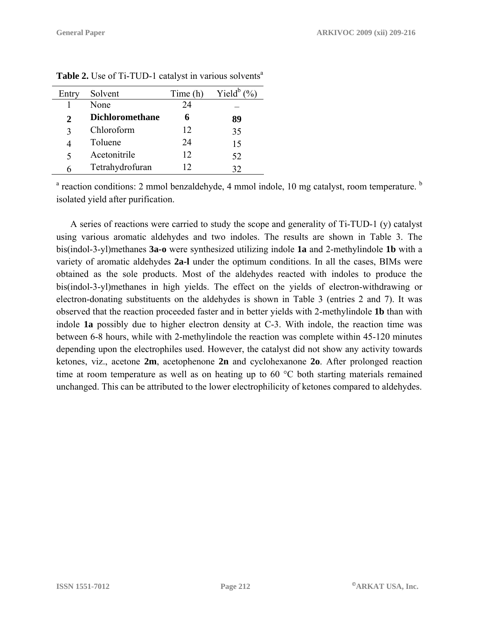| Entry | Solvent                | Time (h) | Yield <sup>b</sup> |
|-------|------------------------|----------|--------------------|
|       | None                   | 24       |                    |
| 2     | <b>Dichloromethane</b> |          | 89                 |
|       | Chloroform             | 12       | 35                 |
|       | Toluene                | 24       | 15                 |
| 5     | Acetonitrile           | 12       | 52                 |
|       | Tetrahydrofuran        | 12       |                    |
|       |                        |          |                    |

**Table 2.** Use of Ti-TUD-1 catalyst in various solvents<sup>a</sup>

<sup>a</sup> reaction conditions: 2 mmol benzaldehyde, 4 mmol indole, 10 mg catalyst, room temperature. <sup>b</sup> isolated yield after purification.

A series of reactions were carried to study the scope and generality of Ti-TUD-1 (y) catalyst using various aromatic aldehydes and two indoles. The results are shown in Table 3. The bis(indol-3-yl)methanes **3a-o** were synthesized utilizing indole **1a** and 2-methylindole **1b** with a variety of aromatic aldehydes **2a-l** under the optimum conditions. In all the cases, BIMs were obtained as the sole products. Most of the aldehydes reacted with indoles to produce the bis(indol-3-yl)methanes in high yields. The effect on the yields of electron-withdrawing or electron-donating substituents on the aldehydes is shown in Table 3 (entries 2 and 7). It was observed that the reaction proceeded faster and in better yields with 2-methylindole **1b** than with indole **1a** possibly due to higher electron density at C-3. With indole, the reaction time was between 6-8 hours, while with 2-methylindole the reaction was complete within 45-120 minutes depending upon the electrophiles used. However, the catalyst did not show any activity towards ketones, viz., acetone **2m**, acetophenone **2n** and cyclohexanone **2o**. After prolonged reaction time at room temperature as well as on heating up to 60 °C both starting materials remained unchanged. This can be attributed to the lower electrophilicity of ketones compared to aldehydes.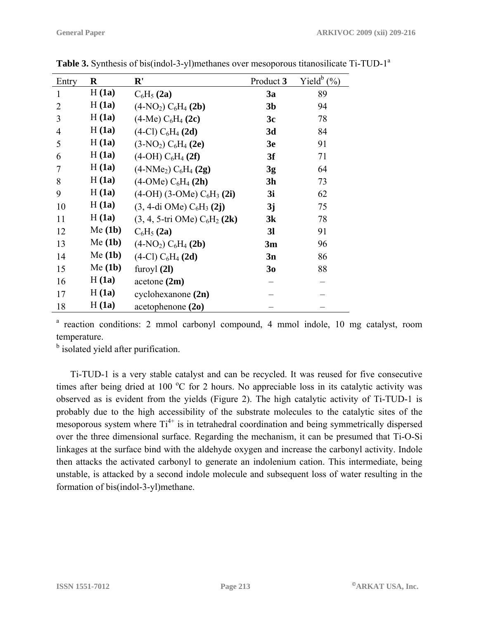| Entry          | $\bf R$ | ${\bf R}'$                                          | Product 3      | Yield $\mathfrak{b}$ (%) |
|----------------|---------|-----------------------------------------------------|----------------|--------------------------|
| 1              | H(1a)   | $C_6H_5(2a)$                                        | 3a             | 89                       |
| $\overline{2}$ | H(1a)   | $(4-NO2) C6H4(2b)$                                  | 3 <sub>b</sub> | 94                       |
| 3              | H(1a)   | $(4-Me) C6H4(2c)$                                   | 3c             | 78                       |
| $\overline{4}$ | H(1a)   | $(4-Cl) C6H4(2d)$                                   | 3d             | 84                       |
| 5              | H(1a)   | $(3-NO2) C6H4(2e)$                                  | 3 <sub>e</sub> | 91                       |
| 6              | H(1a)   | $(4-OH) C6H4 (2f)$                                  | 3f             | 71                       |
| 7              | H(1a)   | $(4-NMe2) C6H4(2g)$                                 | 3g             | 64                       |
| 8              | H(1a)   | $(4\text{-}OMe) C6H4(2h)$                           | 3 <sub>h</sub> | 73                       |
| 9              | H(1a)   | $(4-OH)$ (3-OMe) $C_6H_3$ (2i)                      | 3i             | 62                       |
| 10             | H(1a)   | $(3, 4$ -di OMe) C <sub>6</sub> H <sub>3</sub> (2j) | 3j             | 75                       |
| 11             | H(1a)   | $(3, 4, 5-tri OMe) C6H2(2k)$                        | 3k             | 78                       |
| 12             | Me(1b)  | $C_6H_5(2a)$                                        | 3 <sub>l</sub> | 91                       |
| 13             | Me(1b)  | $(4-NO2) C6H4(2b)$                                  | 3m             | 96                       |
| 14             | Me(1b)  | $(4-Cl) C6H4(2d)$                                   | 3n             | 86                       |
| 15             | Me(1b)  | furoy $l(2l)$                                       | 30             | 88                       |
| 16             | H(1a)   | acetone $(2m)$                                      |                |                          |
| 17             | H(1a)   | cyclohexanone(2n)                                   |                |                          |
| 18             | H(1a)   | acetophenone $(20)$                                 |                |                          |

Table 3. Synthesis of bis(indol-3-yl)methanes over mesoporous titanosilicate Ti-TUD-1<sup>a</sup>

<sup>a</sup> reaction conditions: 2 mmol carbonyl compound, 4 mmol indole, 10 mg catalyst, room temperature.

<sup>b</sup> isolated yield after purification.

Ti-TUD-1 is a very stable catalyst and can be recycled. It was reused for five consecutive times after being dried at 100  $^{\circ}$ C for 2 hours. No appreciable loss in its catalytic activity was observed as is evident from the yields (Figure 2). The high catalytic activity of Ti-TUD-1 is probably due to the high accessibility of the substrate molecules to the catalytic sites of the mesoporous system where  $Ti^{4+}$  is in tetrahedral coordination and being symmetrically dispersed over the three dimensional surface. Regarding the mechanism, it can be presumed that Ti-O-Si linkages at the surface bind with the aldehyde oxygen and increase the carbonyl activity. Indole then attacks the activated carbonyl to generate an indolenium cation. This intermediate, being unstable, is attacked by a second indole molecule and subsequent loss of water resulting in the formation of bis(indol-3-yl)methane.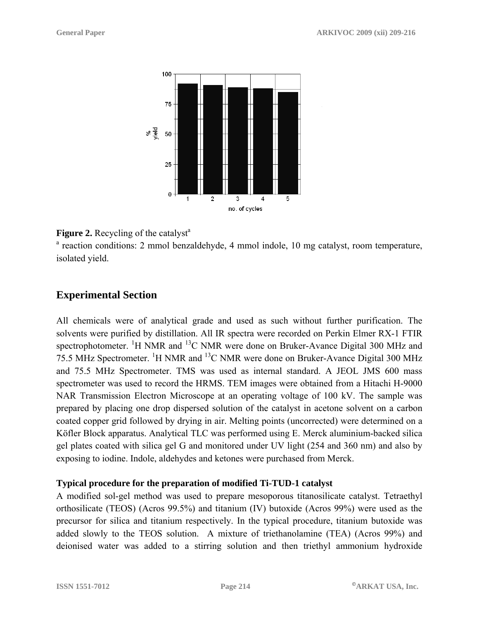

#### **Figure 2.** Recycling of the catalyst<sup>a</sup>

<sup>a</sup> reaction conditions: 2 mmol benzaldehyde, 4 mmol indole, 10 mg catalyst, room temperature, isolated yield.

## **Experimental Section**

All chemicals were of analytical grade and used as such without further purification. The solvents were purified by distillation. All IR spectra were recorded on Perkin Elmer RX-1 FTIR spectrophotometer. <sup>1</sup>H NMR and <sup>13</sup>C NMR were done on Bruker-Avance Digital 300 MHz and 75.5 MHz Spectrometer. <sup>1</sup>H NMR and <sup>13</sup>C NMR were done on Bruker-Avance Digital 300 MHz and 75.5 MHz Spectrometer. TMS was used as internal standard. A JEOL JMS 600 mass spectrometer was used to record the HRMS. TEM images were obtained from a Hitachi H-9000 NAR Transmission Electron Microscope at an operating voltage of 100 kV. The sample was prepared by placing one drop dispersed solution of the catalyst in acetone solvent on a carbon coated copper grid followed by drying in air. Melting points (uncorrected) were determined on a Köfler Block apparatus. Analytical TLC was performed using E. Merck aluminium-backed silica gel plates coated with silica gel G and monitored under UV light (254 and 360 nm) and also by exposing to iodine. Indole, aldehydes and ketones were purchased from Merck.

#### **Typical procedure for the preparation of modified Ti-TUD-1 catalyst**

A modified sol-gel method was used to prepare mesoporous titanosilicate catalyst. Tetraethyl orthosilicate (TEOS) (Acros 99.5%) and titanium (IV) butoxide (Acros 99%) were used as the precursor for silica and titanium respectively. In the typical procedure, titanium butoxide was added slowly to the TEOS solution. A mixture of triethanolamine (TEA) (Acros 99%) and deionised water was added to a stirring solution and then triethyl ammonium hydroxide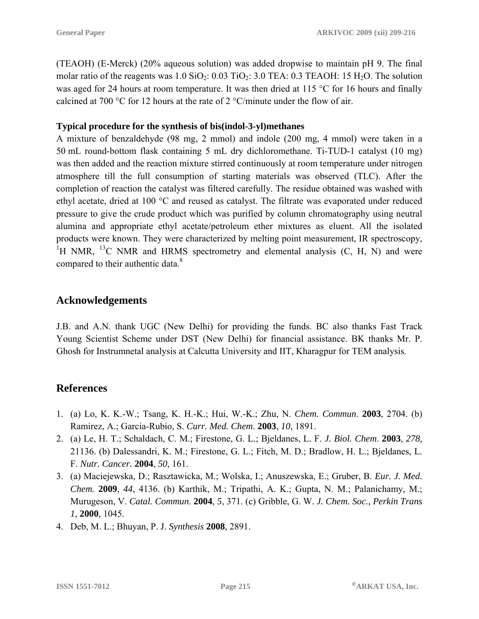(TEAOH) (E-Merck) (20% aqueous solution) was added dropwise to maintain pH 9. The final molar ratio of the reagents was  $1.0$  SiO<sub>2</sub>:  $0.03$  TiO<sub>2</sub>:  $3.0$  TEA:  $0.3$  TEAOH:  $15$  H<sub>2</sub>O. The solution was aged for 24 hours at room temperature. It was then dried at 115 °C for 16 hours and finally calcined at 700 °C for 12 hours at the rate of 2 °C/minute under the flow of air.

#### **Typical procedure for the synthesis of bis(indol-3-yl)methanes**

A mixture of benzaldehyde (98 mg, 2 mmol) and indole (200 mg, 4 mmol) were taken in a 50 mL round-bottom flask containing 5 mL dry dichloromethane. Ti-TUD-1 catalyst (10 mg) was then added and the reaction mixture stirred continuously at room temperature under nitrogen atmosphere till the full consumption of starting materials was observed (TLC). After the completion of reaction the catalyst was filtered carefully. The residue obtained was washed with ethyl acetate, dried at 100 °C and reused as catalyst. The filtrate was evaporated under reduced pressure to give the crude product which was purified by column chromatography using neutral alumina and appropriate ethyl acetate/petroleum ether mixtures as eluent. All the isolated products were known. They were characterized by melting point measurement, IR spectroscopy, <sup>1</sup>H NMR, <sup>13</sup>C NMR and HRMS spectrometry and elemental analysis  $(C, H, N)$  and were compared to their authentic data.<sup>8</sup>

#### **Acknowledgements**

J.B. and A.N. thank UGC (New Delhi) for providing the funds. BC also thanks Fast Track Young Scientist Scheme under DST (New Delhi) for financial assistance. BK thanks Mr. P. Ghosh for Instrumnetal analysis at Calcutta University and IIT, Kharagpur for TEM analysis.

## **References**

- 1. (a) Lo, K. K.-W.; Tsang, K. H.-K.; Hui, W.-K.; Zhu, N. *Chem. Commun*. **2003**, 2704. (b) Ramirez, A.; Garcia-Rubio, S. *Curr. Med. Chem*. **2003**, *10*, 1891.
- 2. (a) Le, H. T.; Schaldach, C. M.; Firestone, G. L.; Bjeldanes, L. F. *J. Biol. Chem*. **2003**, *278*, 21136. (b) Dalessandri, K. M.; Firestone, G. L.; Fitch, M. D.; Bradlow, H. L.; Bjeldanes, L. F. *Nutr. Cancer.* **2004**, *50*, 161.
- 3. (a) Maciejewska, D.; Rasztawicka, M.; Wolska, I.; Anuszewska, E.; Gruber, B. *Eur. J. Med. Chem.* **2009**, *44*, 4136. (b) Karthik, M.; Tripathi, A. K.; Gupta, N. M.; Palanichamy, M.; Murugeson, V. *Catal. Commun*. **2004**, *5*, 371. (c) Gribble, G. W. *J. Chem. Soc., Perkin Trans 1*, **2000**, 1045.
- 4. Deb, M. L.; Bhuyan, P. J. *Synthesis* **2008**, 2891.